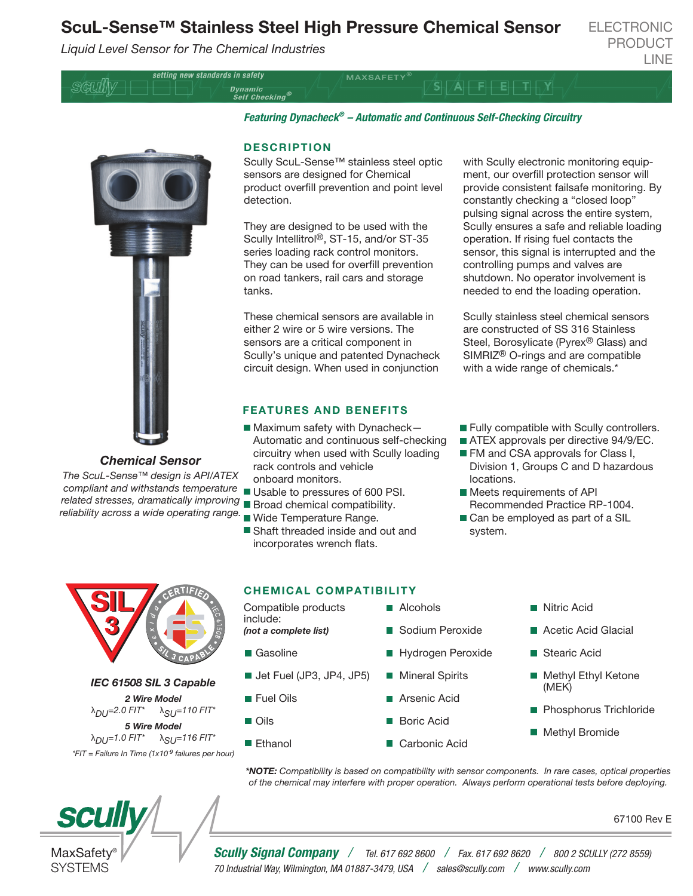# ScuL-Sense™ Stainless Steel High Pressure Chemical Sensor

*Liquid Level Sensor for The Chemical Industries*

setting new standards in safety

ELECTRONIC PRODUCT LINE

SGUIIN



*Chemical Sensor*

*The ScuL-Sense™ design is API/ATEX compliant and withstands temperature related stresses, dramatically improving* Broad chemical compatibility. *reliability across a wide operating range.*

# *Featuring Dynacheck® – Automatic and Continuous Self-Checking Circuitry*

 $S_1/A$   $F$   $E$   $T_1$   $X_1$ 

**MAXSAFETY** 

#### DESCRIPTION

Dynamic<br>Self Checking®

Scully ScuL-Sense™ stainless steel optic sensors are designed for Chemical product overfill prevention and point level detection.

They are designed to be used with the Scully Intellitrol®, ST-15, and/or ST-35 series loading rack control monitors. They can be used for overfill prevention on road tankers, rail cars and storage tanks.

These chemical sensors are available in either 2 wire or 5 wire versions. The sensors are a critical component in Scully's unique and patented Dynacheck circuit design. When used in conjunction

## FEATURES AND BENEFITS

- $\blacksquare$  Maximum safety with Dynacheck-Automatic and continuous self-checking circuitry when used with Scully loading rack controls and vehicle onboard monitors.
- Usable to pressures of 600 PSI.
- 
- Wide Temperature Range.
- Shaft threaded inside and out and incorporates wrench flats.

with Scully electronic monitoring equipment, our overfill protection sensor will provide consistent failsafe monitoring. By constantly checking a "closed loop" pulsing signal across the entire system, Scully ensures a safe and reliable loading operation. If rising fuel contacts the sensor, this signal is interrupted and the controlling pumps and valves are shutdown. No operator involvement is needed to end the loading operation.

Scully stainless steel chemical sensors are constructed of SS 316 Stainless Steel, Borosylicate (Pyrex® Glass) and SIMRIZ® O-rings and are compatible with a wide range of chemicals.<sup>\*</sup>

- **Fully compatible with Scully controllers.**
- ATEX approvals per directive 94/9/EC.
- **FM** and CSA approvals for Class I, Division 1, Groups C and D hazardous locations.
- Meets requirements of API Recommended Practice RP-1004.
- Can be employed as part of a SIL system.



#### *IEC 61508 SIL 3 Capable*

*2 Wire Model* λ*DU=2.0 FIT\** λ*SU=110 FIT\* 5 Wire Model* λ*DU=1.0 FIT\** λ*SU=116 FIT\* \*FIT = Failure In Time (1x10ˉ 9 failures per hour)*

# **scully**

MaxSafety **SYSTEMS** 

## CHEMICAL COMPATIBILITY

| Compatible products<br>include:         | $\blacksquare$ Alcohols | <b>■ Nitric Acid</b>     |  |
|-----------------------------------------|-------------------------|--------------------------|--|
| (not a complete list)                   | Sodium Peroxide         | Acetic Acid Glacial      |  |
| ■ Gasoline                              | ■ Hydrogen Peroxide     | Stearic Acid             |  |
| $\blacksquare$ Jet Fuel (JP3, JP4, JP5) | <b>Mineral Spirits</b>  | ■ Methyl Ethyl Ketone    |  |
| <b>T</b> Fuel Oils                      | ■ Arsenic Acid          | (MEK)                    |  |
| $\blacksquare$ Oils                     | <b>Boric Acid</b>       | ■ Phosphorus Trichloride |  |
| ■ Ethanol                               | Carbonic Acid           | Methyl Bromide           |  |

 *\*NOTE: Compatibility is based on compatibility with sensor components. In rare cases, optical properties of the chemical may interfere with proper operation. Always perform operational tests before deploying.*

67100 Rev E

*Scully Signal Company / Tel. 617 692 8600 / Fax. 617 692 8620 / 800 2 SCULLY (272 8559) 70 Industrial Way, Wilmington, MA 01887-3479, USA / sales@scully.com / www.scully.com*